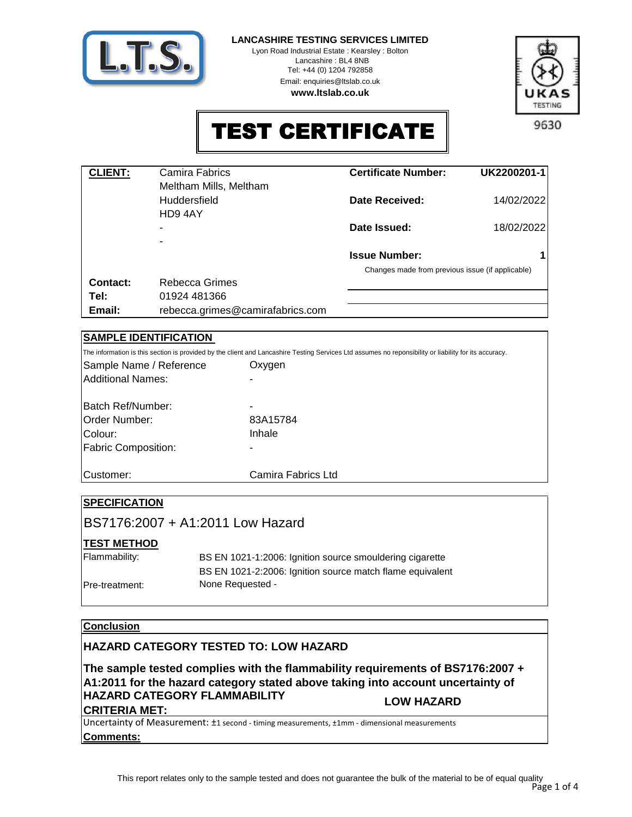

**LANCASHIRE TESTING SERVICES LIMITED**

Lyon Road Industrial Estate : Kearsley : Bolton Lancashire : BL4 8NB Tel: +44 (0) 1204 792858 Email: enquiries@ltslab.co.uk **www.ltslab.co.uk**



TEST CERTIFICATE

| <b>CLIENT:</b> | Camira Fabrics                   | <b>Certificate Number:</b>                       | UK2200201-1 |
|----------------|----------------------------------|--------------------------------------------------|-------------|
|                | Meltham Mills, Meltham           |                                                  |             |
|                | <b>Huddersfield</b>              | Date Received:                                   | 14/02/2022  |
|                | HD9 4AY                          |                                                  |             |
|                | -                                | Date Issued:                                     | 18/02/2022  |
|                | ۰                                |                                                  |             |
|                |                                  | <b>Issue Number:</b>                             |             |
|                |                                  | Changes made from previous issue (if applicable) |             |
| Contact:       | Rebecca Grimes                   |                                                  |             |
| Tel:           | 01924 481366                     |                                                  |             |
| Email:         | rebecca.grimes@camirafabrics.com |                                                  |             |

## **SAMPLE IDENTIFICATION**

The information is this section is provided by the client and Lancashire Testing Services Ltd assumes no reponsibility or liability for its accuracy.

| Sample Name / Reference    | Oxygen             |
|----------------------------|--------------------|
| Additional Names:          |                    |
| Batch Ref/Number:          |                    |
|                            |                    |
| Order Number:              | 83A15784           |
| Colour:                    | Inhale             |
| <b>Fabric Composition:</b> |                    |
|                            |                    |
| lCustomer:                 | Camira Fabrics Ltd |

## **SPECIFICATION**

BS7176:2007 + A1:2011 Low Hazard

## **TEST METHOD**

| Flammability:  | BS EN 1021-1:2006: Ignition source smouldering cigarette  |
|----------------|-----------------------------------------------------------|
|                | BS EN 1021-2:2006: Ignition source match flame equivalent |
| Pre-treatment: | None Requested -                                          |

## **Conclusion**

## **HAZARD CATEGORY TESTED TO: LOW HAZARD**

**The sample tested complies with the flammability requirements of BS7176:2007 + A1:2011 for the hazard category stated above taking into account uncertainty of HAZARD CATEGORY FLAMMABILITY CRITERIA MET: LOW HAZARD**

**Comments:** Uncertainty of Measurement: ±1 second - timing measurements, ±1mm - dimensional measurements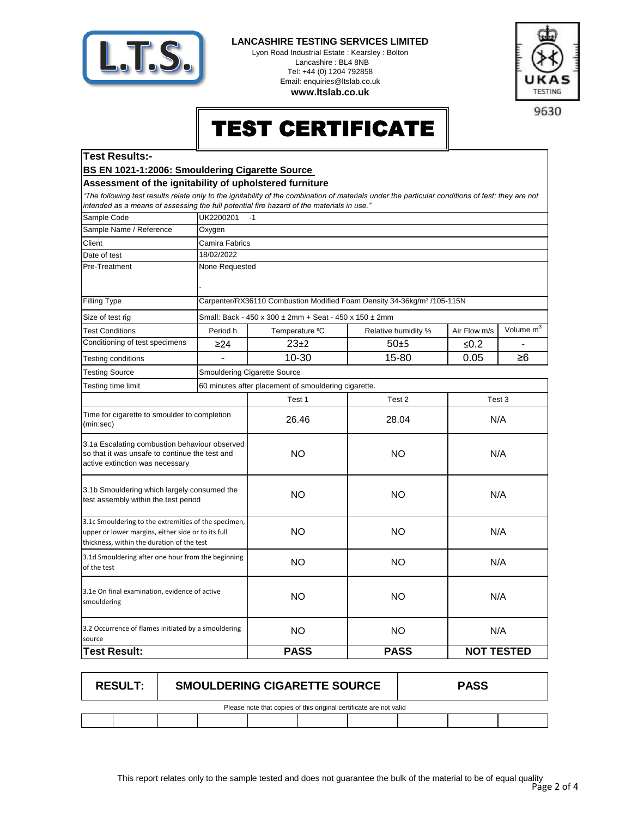

#### **LANCASHIRE TESTING SERVICES LIMITED**

Lyon Road Industrial Estate : Kearsley : Bolton Lancashire : BL4 8NB Tel: +44 (0) 1204 792858 Email: enquiries@ltslab.co.uk **www.ltslab.co.uk**



9630

# TEST CERTIFICATE

#### **Test Results:-**

**BS EN 1021-1:2006: Smouldering Cigarette Source** 

### **Assessment of the ignitability of upholstered furniture**

*"The following test results relate only to the ignitability of the combination of materials under the particular conditions of test; they are not intended as a means of assessing the full potential fire hazard of the materials in use."*

| Sample Code                                                                                                                                              | UK2200201<br>$-1$        |                                                                                     |                     |                   |                       |  |
|----------------------------------------------------------------------------------------------------------------------------------------------------------|--------------------------|-------------------------------------------------------------------------------------|---------------------|-------------------|-----------------------|--|
| Sample Name / Reference                                                                                                                                  | Oxygen                   |                                                                                     |                     |                   |                       |  |
| Client                                                                                                                                                   | Camira Fabrics           |                                                                                     |                     |                   |                       |  |
| Date of test                                                                                                                                             | 18/02/2022               |                                                                                     |                     |                   |                       |  |
| Pre-Treatment                                                                                                                                            | None Requested           |                                                                                     |                     |                   |                       |  |
|                                                                                                                                                          |                          |                                                                                     |                     |                   |                       |  |
| Filling Type                                                                                                                                             |                          | Carpenter/RX36110 Combustion Modified Foam Density 34-36kg/m <sup>3</sup> /105-115N |                     |                   |                       |  |
| Size of test rig                                                                                                                                         |                          | Small: Back - 450 x 300 ± 2mm + Seat - 450 x 150 ± 2mm                              |                     |                   |                       |  |
| <b>Test Conditions</b>                                                                                                                                   | Period h                 | Temperature °C                                                                      | Relative humidity % | Air Flow m/s      | Volume m <sup>3</sup> |  |
| Conditioning of test specimens                                                                                                                           | $\geq$ 24                | $23+2$                                                                              | $50+5$              | ≤ $0.2$           |                       |  |
| Testing conditions                                                                                                                                       | $\overline{\phantom{a}}$ | 10-30                                                                               | 15-80               | 0.05              | $\geq 6$              |  |
| <b>Testing Source</b>                                                                                                                                    |                          | <b>Smouldering Cigarette Source</b>                                                 |                     |                   |                       |  |
| Testing time limit                                                                                                                                       |                          | 60 minutes after placement of smouldering cigarette.                                |                     |                   |                       |  |
|                                                                                                                                                          |                          | Test 1                                                                              | Test 2              |                   | Test 3                |  |
| Time for cigarette to smoulder to completion<br>(min:sec)                                                                                                |                          | 26.46                                                                               | 28.04               |                   | N/A                   |  |
| 3.1a Escalating combustion behaviour observed<br>so that it was unsafe to continue the test and<br>active extinction was necessary                       |                          | <b>NO</b>                                                                           | <b>NO</b>           | N/A               |                       |  |
| 3.1b Smouldering which largely consumed the<br>test assembly within the test period                                                                      |                          | <b>NO</b>                                                                           | <b>NO</b>           | N/A               |                       |  |
| 3.1c Smouldering to the extremities of the specimen,<br>upper or lower margins, either side or to its full<br>thickness, within the duration of the test |                          | <b>NO</b>                                                                           | <b>NO</b>           | N/A               |                       |  |
| 3.1d Smouldering after one hour from the beginning<br>of the test                                                                                        |                          | <b>NO</b>                                                                           | <b>NO</b>           |                   | N/A                   |  |
| 3.1e On final examination, evidence of active<br>smouldering                                                                                             |                          | <b>NO</b>                                                                           | <b>NO</b>           | N/A               |                       |  |
| 3.2 Occurrence of flames initiated by a smouldering<br>source                                                                                            |                          | <b>NO</b>                                                                           | <b>NO</b>           |                   | N/A                   |  |
| <b>Test Result:</b>                                                                                                                                      |                          | <b>PASS</b>                                                                         | <b>PASS</b>         | <b>NOT TESTED</b> |                       |  |

|                                                                    | <b>RESULT:</b> | <b>SMOULDERING CIGARETTE SOURCE</b> |  |  |  |  | <b>PASS</b> |  |
|--------------------------------------------------------------------|----------------|-------------------------------------|--|--|--|--|-------------|--|
| Please note that copies of this original certificate are not valid |                |                                     |  |  |  |  |             |  |
|                                                                    |                |                                     |  |  |  |  |             |  |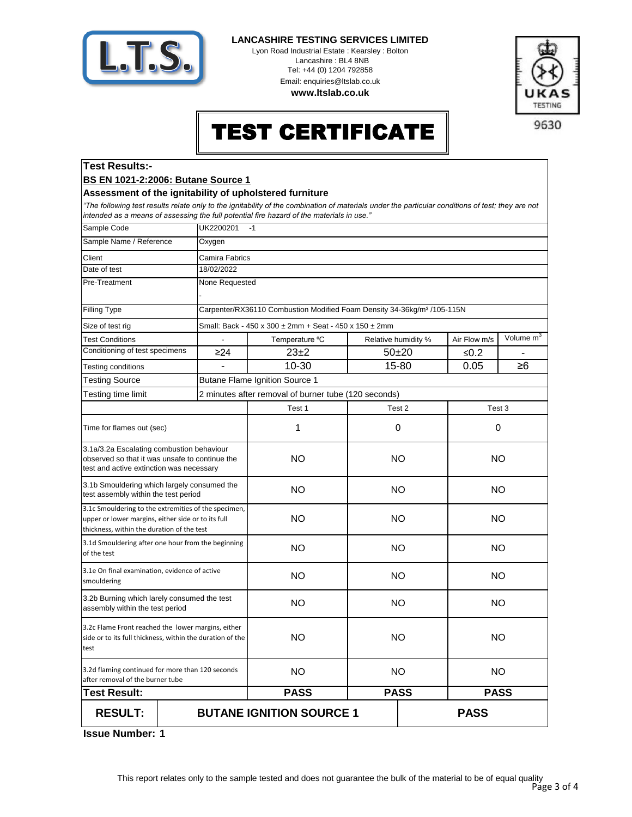

**Test Results:-**

#### **LANCASHIRE TESTING SERVICES LIMITED**

Lyon Road Industrial Estate : Kearsley : Bolton Lancashire : BL4 8NB Tel: +44 (0) 1204 792858 Email: enquiries@ltslab.co.uk

**www.ltslab.co.uk**



# TEST CERTIFICATE

9630

|                                                                                                                                                          | <b>BS EN 1021-2:2006: Butane Source 1</b>               |                                                                                                                                                                                                                                                |     |                            |              |              |
|----------------------------------------------------------------------------------------------------------------------------------------------------------|---------------------------------------------------------|------------------------------------------------------------------------------------------------------------------------------------------------------------------------------------------------------------------------------------------------|-----|----------------------------|--------------|--------------|
|                                                                                                                                                          | Assessment of the ignitability of upholstered furniture |                                                                                                                                                                                                                                                |     |                            |              |              |
|                                                                                                                                                          |                                                         | "The following test results relate only to the ignitability of the combination of materials under the particular conditions of test; they are not<br>intended as a means of assessing the full potential fire hazard of the materials in use." |     |                            |              |              |
| Sample Code                                                                                                                                              | UK2200201                                               | $-1$                                                                                                                                                                                                                                           |     |                            |              |              |
| Sample Name / Reference                                                                                                                                  | Oxygen                                                  |                                                                                                                                                                                                                                                |     |                            |              |              |
| Client                                                                                                                                                   | Camira Fabrics                                          |                                                                                                                                                                                                                                                |     |                            |              |              |
| Date of test                                                                                                                                             | 18/02/2022                                              |                                                                                                                                                                                                                                                |     |                            |              |              |
| Pre-Treatment                                                                                                                                            | None Requested                                          |                                                                                                                                                                                                                                                |     |                            |              |              |
| Filling Type                                                                                                                                             |                                                         | Carpenter/RX36110 Combustion Modified Foam Density 34-36kg/m <sup>3</sup> /105-115N                                                                                                                                                            |     |                            |              |              |
| Size of test rig                                                                                                                                         |                                                         | Small: Back - 450 x 300 ± 2mm + Seat - 450 x 150 ± 2mm                                                                                                                                                                                         |     |                            |              |              |
| <b>Test Conditions</b>                                                                                                                                   |                                                         | Temperature °C                                                                                                                                                                                                                                 |     | Relative humidity %        | Air Flow m/s | Volume $m^3$ |
| Conditioning of test specimens                                                                                                                           | $\geq$ 24                                               | $23+2$                                                                                                                                                                                                                                         |     | $50 + 20$                  | ≤ $0.2$      |              |
| Testing conditions                                                                                                                                       |                                                         | 10-30                                                                                                                                                                                                                                          |     | 15-80                      | 0.05         | ≥6           |
| <b>Testing Source</b>                                                                                                                                    |                                                         | <b>Butane Flame Ignition Source 1</b>                                                                                                                                                                                                          |     |                            |              |              |
| Testing time limit                                                                                                                                       |                                                         | 2 minutes after removal of burner tube (120 seconds)                                                                                                                                                                                           |     |                            |              |              |
|                                                                                                                                                          |                                                         | Test 1                                                                                                                                                                                                                                         |     | Test 2                     |              | Test 3       |
| Time for flames out (sec)                                                                                                                                |                                                         | 1                                                                                                                                                                                                                                              |     | $\mathbf 0$                |              | 0            |
| 3.1a/3.2a Escalating combustion behaviour<br>observed so that it was unsafe to continue the<br>test and active extinction was necessary                  |                                                         | <b>NO</b>                                                                                                                                                                                                                                      |     | <b>NO</b>                  | <b>NO</b>    |              |
| 3.1b Smouldering which largely consumed the<br>test assembly within the test period                                                                      |                                                         | <b>NO</b>                                                                                                                                                                                                                                      |     | <b>NO</b>                  | <b>NO</b>    |              |
| 3.1c Smouldering to the extremities of the specimen,<br>upper or lower margins, either side or to its full<br>thickness, within the duration of the test |                                                         | <b>NO</b>                                                                                                                                                                                                                                      |     | <b>NO</b>                  | <b>NO</b>    |              |
| 3.1d Smouldering after one hour from the beginning<br>of the test                                                                                        |                                                         | <b>NO</b>                                                                                                                                                                                                                                      |     | NO.                        | <b>NO</b>    |              |
| 3.1e On final examination, evidence of active<br>smouldering                                                                                             |                                                         | <b>NO</b>                                                                                                                                                                                                                                      |     | <b>NO</b>                  | <b>NO</b>    |              |
| 3.2b Burning which larely consumed the test<br>assembly within the test period                                                                           |                                                         | <b>NO</b>                                                                                                                                                                                                                                      |     | <b>NO</b>                  | <b>NO</b>    |              |
| 3.2c Flame Front reached the lower margins, either<br>side or to its full thickness, within the duration of the<br>test                                  |                                                         | ΝO                                                                                                                                                                                                                                             |     | NO.<br>NO                  |              |              |
| 3.2d flaming continued for more than 120 seconds<br>after removal of the burner tube                                                                     |                                                         | <b>NO</b>                                                                                                                                                                                                                                      | NO. |                            | <b>NO</b>    |              |
| <b>Test Result:</b>                                                                                                                                      |                                                         | <b>PASS</b>                                                                                                                                                                                                                                    |     | <b>PASS</b><br><b>PASS</b> |              |              |
| <b>RESULT:</b>                                                                                                                                           |                                                         | <b>BUTANE IGNITION SOURCE 1</b>                                                                                                                                                                                                                |     |                            | <b>PASS</b>  |              |

**1 Issue Number:**